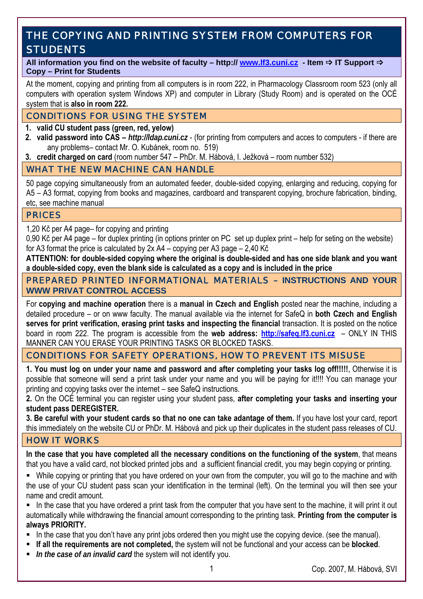# THE COPYING AND PRINTING SYSTEM FROM COMPUTERS FOR **STUDENTS**

#### All information you find on the website of faculty – http://www.lf3.cuni.cz - Item  $\Rightarrow$  IT Support  $\Rightarrow$ **Copy – Print for Students**

At the moment, copying and printing from all computers is in room 222, in Pharmacology Classroom room 523 (only all computers with operation system Windows XP) and computer in Library (Study Room) and is operated on the OCÉ system that is **also in room 222.**

## CONDITIONS FOR USING THE SYSTEM

#### **1. valid CU student pass (green, red, yelow)**

- **2. valid password into CAS** *http://ldap.cuni.cz* (for printing from computers and acces to computers if there are any problems– contact Mr. O. Kubánek, room no. 519)
- **3. credit charged on card** (room number 547 PhDr. M. Hábová, I. Ježková room number 532)

## WHAT THE NEW MACHINE CAN HANDLE

50 page copying simultaneously from an automated feeder, double-sided copying, enlarging and reducing, copying for A5 – A3 format, copying from books and magazines, cardboard and transparent copying, brochure fabrication, binding, etc, see machine manual

#### PRICES

1,20 Kč per A4 page– for copying and printing

0,90 Kč per A4 page – for duplex printing (in options printer on PC set up duplex print – help for seting on the website) for A3 format the price is calculated by 2x A4 – copying per A3 page – 2,40 Kč

**ATTENTION: for double-sided copying where the original is double-sided and has one side blank and you want a double-sided copy, even the blank side is calculated as a copy and is included in the price** 

### PREPARED PRINTED INFORMATIONAL MATERIALS – **INSTRUCTIONS AND YOUR WWW PRIVAT CONTROL ACCESS**

For **copying and machine operation** there is a **manual in Czech and English** posted near the machine, including a detailed procedure – or on www faculty. The manual available via the internet for SafeQ in **both Czech and English serves for print verification, erasing print tasks and inspecting the financial** transaction. It is posted on the notice board in room 222. The program is accessible from the **web address: http://safeq.lf3.cuni.cz** – ONLY IN THIS MANNER CAN YOU ERASE YOUR PRINTING TASKS OR BLOCKED TASKS.

## CONDITIONS FOR SAFETY OPERATIONS, HOW TO PREVENT ITS MISUSE

**1. You must log on under your name and password and after completing your tasks log off!!!!!**, Otherwise it is possible that someone will send a print task under your name and you will be paying for it!!!! You can manage your printing and copying tasks over the internet – see SafeQ instructions.

**2.** On the OCÉ terminal you can register using your student pass, **after completing your tasks and inserting your student pass DEREGISTER.**

**3. Be careful with your student cards so that no one can take adantage of them.** If you have lost your card, report this immediately on the website CU or PhDr. M. Hábová and pick up their duplicates in the student pass releases of CU.

## HOW IT WORKS

**In the case that you have completed all the necessary conditions on the functioning of the system**, that means that you have a valid card, not blocked printed jobs and a sufficient financial credit, you may begin copying or printing.

 While copying or printing that you have ordered on your own from the computer, you will go to the machine and with the use of your CU student pass scan your identification in the terminal (left). On the terminal you will then see your name and credit amount.

 In the case that you have ordered a print task from the computer that you have sent to the machine, it will print it out automatically while withdrawing the financial amount corresponding to the printing task. **Printing from the computer is always PRIORITY.**

- In the case that you don't have any print jobs ordered then you might use the copying device. (see the manual).
- **If all the requirements are not completed,** the system will not be functional and your access can be **blocked**.
- *In the case of an invalid card* the system will not identify you.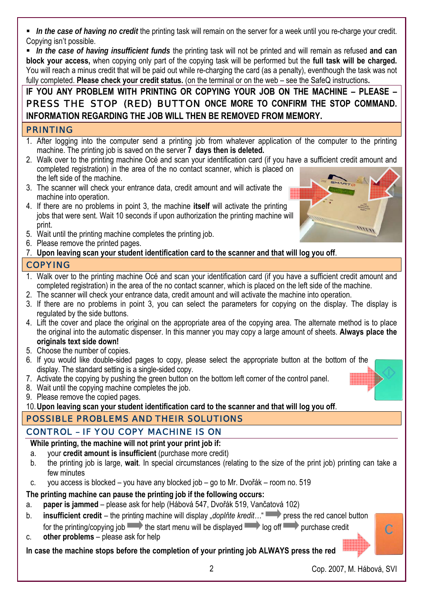*In the case of having no credit* the printing task will remain on the server for a week until you re-charge your credit. Copying isn't possible.

 *In the case of having insufficient funds* the printing task will not be printed and will remain as refused **and can block your access,** when copying only part of the copying task will be performed but the **full task will be charged.** You will reach a minus credit that will be paid out while re-charging the card (as a penalty), eventhough the task was not fully completed. **Please check your credit status.** (on the terminal or on the web – see the SafeQ instructions**.** 

# **IF YOU ANY PROBLEM WITH PRINTING OR COPYING YOUR JOB ON THE MACHINE – PLEASE –**  PRESS THE STOP (RED) BUTTON **ONCE MORE TO CONFIRM THE STOP COMMAND. INFORMATION REGARDING THE JOB WILL THEN BE REMOVED FROM MEMORY.**

## PRINTING

- 1. After logging into the computer send a printing job from whatever application of the computer to the printing machine. The printing job is saved on the server **7 days then is deleted.**
- 2. Walk over to the printing machine Océ and scan your identification card (if you have a sufficient credit amount and completed registration) in the area of the no contact scanner, which is placed on the left side of the machine.
- 3. The scanner will check your entrance data, credit amount and will activate the machine into operation.
- 4. If there are no problems in point 3, the machine **itself** will activate the printing jobs that were sent. Wait 10 seconds if upon authorization the printing machine will print.
- 5. Wait until the printing machine completes the printing job.
- 6. Please remove the printed pages.
- 7. **Upon leaving scan your student identification card to the scanner and that will log you off**.

## COPYING

- 1. Walk over to the printing machine Océ and scan your identification card (if you have a sufficient credit amount and completed registration) in the area of the no contact scanner, which is placed on the left side of the machine.
- 2. The scanner will check your entrance data, credit amount and will activate the machine into operation.
- 3. If there are no problems in point 3, you can select the parameters for copying on the display. The display is regulated by the side buttons.
- 4. Lift the cover and place the original on the appropriate area of the copying area. The alternate method is to place the original into the automatic dispenser. In this manner you may copy a large amount of sheets. **Always place the originals text side down!**
- 5. Choose the number of copies.
- 6. If you would like double-sided pages to copy, please select the appropriate button at the bottom of the display. The standard setting is a single-sided copy.
- 7. Activate the copying by pushing the green button on the bottom left corner of the control panel.
- 8. Wait until the copying machine completes the job.
- 9. Please remove the copied pages.
- 10.**Upon leaving scan your student identification card to the scanner and that will log you off**.

## POSSIBLE PROBLEMS AND THEIR SOLUTIONS

## CONTROL – IF YOU COPY MACHINE IS ON

## **While printing, the machine will not print your print job if:**

- a. your **credit amount is insufficient** (purchase more credit)
- b. the printing job is large, **wait**. In special circumstances (relating to the size of the print job) printing can take a few minutes
- c. you access is blocked you have any blocked job go to Mr. Dvořák room no. 519

## **The printing machine can pause the printing job if the following occurs:**

- a. **paper is jammed** please ask for help (Hábová 547, Dvořák 519, Vančatová 102)
- b. **insufficient credit** the printing machine will display "doplnte kredit..." press the red cancel button for the printing/copying job the start menu will be displayed  $\rightarrow$  log off purchase credit
- c. **other problems** please ask for help

**In case the machine stops before the completion of your printing job ALWAYS press the red** 



Ċ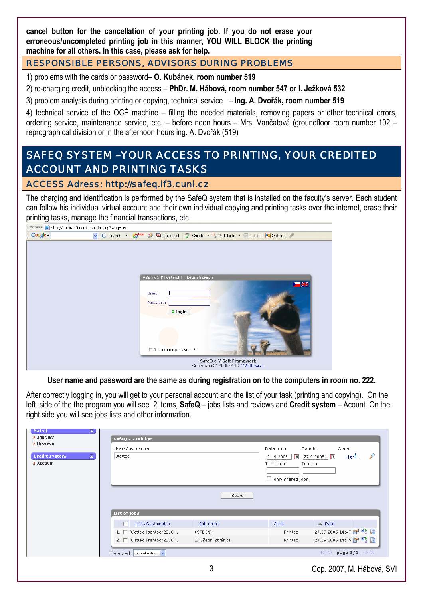**cancel button for the cancellation of your printing job. If you do not erase your erroneous/uncompleted printing job in this manner, YOU WILL BLOCK the printing machine for all others. In this case, please ask for help.** 

## RESPONSIBLE PERSONS, ADVISORS DURING PROBLEMS

1) problems with the cards or password– **O. Kubánek, room number 519** 

2) re-charging credit, unblocking the access – **PhDr. M. Hábová, room number 547 or I. Ježková 532** 

3) problem analysis during printing or copying, technical service – **Ing. A. Dvořák, room number 519**

4) technical service of the OCÉ machine – filling the needed materials, removing papers or other technical errors, ordering service, maintenance service, etc. – before noon hours – Mrs. Vančatová (groundfloor room number 102 – reprographical division or in the afternoon hours ing. A. Dvořák (519)

# SAFEQ SYSTEM –YOUR ACCESS TO PRINTING, YOUR CREDITED ACCOUNT AND PRINTING TASKS

## ACCESS Adress: http://safeq.lf3.cuni.cz

The charging and identification is performed by the SafeQ system that is installed on the faculty's server. Each student can follow his individual virtual account and their own individual copying and printing tasks over the internet, erase their printing tasks, manage the financial transactions, etc.

|         | Adresa <b>&amp;</b> http://safeq.lf3.cuni.cz/index.jsp?lang=en                                                   |  |  |  |
|---------|------------------------------------------------------------------------------------------------------------------|--|--|--|
| Google- | v G Search · O <sup>New!</sup> @ So D blocked   ^ check · $\ddot{\mathcal{R}}$ AutoLink · @ AutoFill & Options & |  |  |  |
|         |                                                                                                                  |  |  |  |
|         | yBox v1.8 [ostrich] - Login Screen<br>$\blacksquare$<br>User:                                                    |  |  |  |
|         | Password:<br>$>$ login                                                                                           |  |  |  |
|         |                                                                                                                  |  |  |  |
|         | Remember password?                                                                                               |  |  |  |
|         | SafeQ a Y Soft Framework<br>Copyright(C) 2000-2005 Y Soft, s.r.o.                                                |  |  |  |

**User name and password are the same as during registration on to the computers in room no. 222.** 

After correctly logging in, you will get to your personal account and the list of your task (printing and copying). On the left side of the the program you will see 2 items, **SafeQ** – jobs lists and reviews and **Credit system** – Acount. On the right side you will see jobs lists and other information.

| a Jobs list<br><b>B</b> Reviews        | $SafeQ \rightarrow Job$ list<br>User/Cost centre | Date from:       | State<br>Date to:                                                      |                                                                                       |
|----------------------------------------|--------------------------------------------------|------------------|------------------------------------------------------------------------|---------------------------------------------------------------------------------------|
| 云<br><b>Credit system</b><br>a Account | Watted                                           |                  | $\mathbb{F}_5$<br> 21.9.2005 <br>Time from:<br>$\Box$ only shared jobs | Filtr $E$<br>$\mathcal{P}$<br>眉<br> 27.9.2005 <br>Time to:                            |
|                                        |                                                  |                  |                                                                        |                                                                                       |
|                                        |                                                  | Search           |                                                                        |                                                                                       |
|                                        | List of jobs                                     |                  |                                                                        |                                                                                       |
|                                        | User/Cost centre                                 | Job name         | <b>State</b>                                                           | <b>△</b> Date                                                                         |
|                                        | $1. \Box$ Watted (santoor2060                    | (STDIN)          | Printed                                                                | 27.09.2005 14:47 图 略                                                                  |
|                                        | 2. $\Box$ Watted (santoor2060                    | Zkušební stránka | Printed                                                                | 27.09.2005 14:45 图                                                                    |
|                                        | Selected: select action-                         |                  |                                                                        | $\mathbb{R} \oplus \mathbb{C}$ - page $1/1 - \mathbb{C} \oplus \mathbb{C} \mathbb{R}$ |